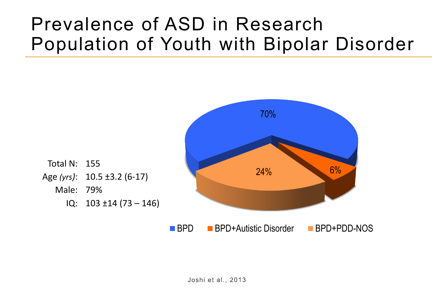### Prevalence of ASD in Research Population of Youth with Bipolar Disorder

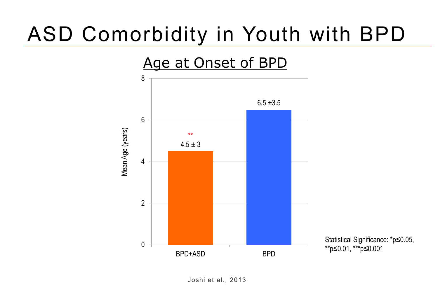# ASD Comorbidity in Youth with BPD



Joshi et al., 2013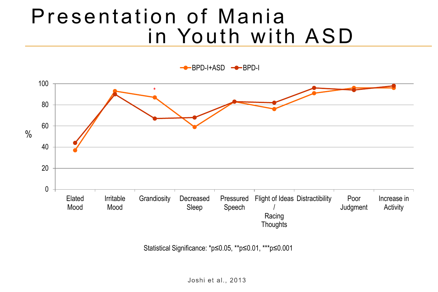## Presentation of Mania in Youth with ASD

 $-BPD-I+ASD$   $\rightarrow$ BPD-I



Statistical Significance: \*p≤0.05, \*\*p≤0.01, \*\*\*p≤0.001

Joshi et al., 2013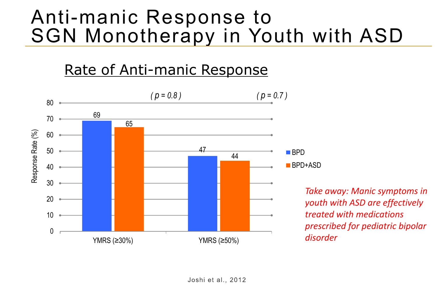### Anti-manic Response to SGN Monotherapy in Youth with ASD

#### Rate of Anti-manic Response



*Take away: Manic symptoms in youth with ASD are effectively treated with medications prescribed for pediatric bipolar disorder*